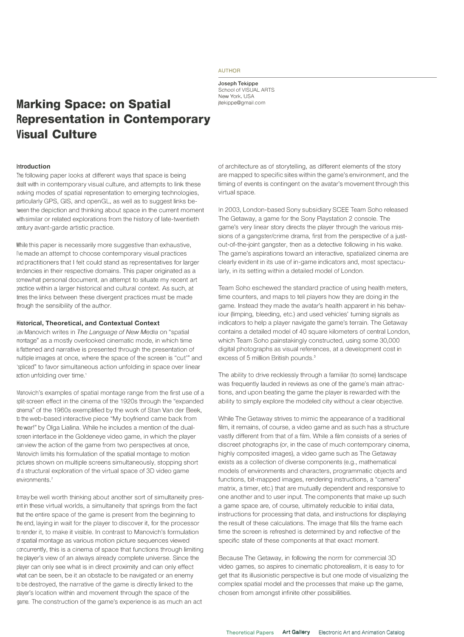**AUTHOR** 

**Joseph Tekippe**  School of VISUAL ARTS New York, USA jtekippe@gmail.com

# **Marking Space: on Spatial Representation in Contemporary Visual Culture**

## **Introduction**

The following paper looks at different ways that space is being dealt with in contemporary visual culture, and attempts to link these evolving modes of spatial representation to emerging technologies, particularly GPS, GIS, and openGL, as well as to suggest links between the depiction and thinking about space in the current moment with similar or related explorations from the history of late-twentieth century avant-garde artistic practice.

While this paper is necessarily more suggestive than exhaustive, I've made an attempt to choose contemporary visual practices and practitioners that I felt could stand as representatives for larger tendencies in their respective domains. This paper originated as a somewhat personal document, an attempt to situate my recent art practice within a larger historical and cultural context. As such, at limes the links between these divergent practices must be made through the sensibility of the author.

## **Historical, Theoretical, and Contextual Context**

Lev Manovich writes in *The Language of New Media* on "spatial montage" as a mostly overlooked cinematic mode, in which time is flattened and narrative is presented through the presentation of multiple images at once, where the space of the screen is "cut'" and "spliced" to favor simultaneous action unfolding in space over linear action unfolding over time.'

Manovich's examples of spatial montage range from the first use of a split-screen effect in the cinema of the 1920s through the "expanded cinema" of the 1960s exemplified by the work of Stan Van der Beek, to the web-based interactive piece "My boyfriend came back from the war!" by Olga Lialina. While he includes a mention of the dualscreen interface in the Goldeneye video game, in which the player can view the action of the game from two perspectives at once, Manovich limits his formulation of the spatial montage to motion pictures shown on multiple screens simultaneously, stopping short of a structural exploration of the virtual space of 30 video game environments. **<sup>2</sup>**

It may be well worth thinking about another sort of simultaneity present in these virtual worlds, a simultaneity that springs from the fact that the entire space of the game is present from the beginning to the end, laying in wait for the player to discover it, for the processor to render it, to make it visible. In contrast to Manovich's formulation of spatial montage as various motion picture sequences viewed concurrently, this is a cinema of space that functions through limiting the player's view of an always already complete universe. Since the player can only see what is in direct proximity and can only effect what can be seen, be it an obstacle to be navigated or an enemy to be destroyed, the narrative of the game is directly linked to the player's location within and movement through the space of the game. The construction of the game's experience is as much an act

of architecture as of storytelling, as different elements of the story are mapped to specific sites within the game's environment, and the timing of events is contingent on the avatar's movement through this virtual space.

In 2003, London-based Sony subsidiary SCEE Team Soho released The Getaway, a game for the Sony Playstation 2 console. The game's very linear story directs the player through the various missions of a gangster/crime drama, first from the perspective of a justout-of-the-joint gangster, then as a detective following in his wake. The game's aspirations toward an interactive, spatialized cinema are clearly evident in its use of in-game indicators and, most spectacularly, in its setting within a detailed model of London.

Team Soho eschewed the standard practice of using health meters, time counters, and maps to tell players how they are doing in the game. Instead they made the avatar's health apparent in his behaviour (limping, bleeding, etc.) and used vehicles' turning signals as indicators to help a player navigate the game's terrain. The Getaway contains a detailed model of 40 square kilometers of central London, which Team Soho painstakingly constructed, using some 30,000 digital photographs as visual references, at a development cost in excess of 5 million British pounds.**<sup>3</sup>**

The ability to drive recklessly through a familiar (to some) landscape was frequently lauded in reviews as one of the game's main attractions, and upon beating the game the player is rewarded with the ability to simply explore the modeled city without a clear objective.

While The Getaway strives to mimic the appearance of a traditional film, it remains, of course, a video game and as such has a structure vastly different from that of a film. While a film consists of a series of discreet photographs (or, in the case of much contemporary cinema, highly composited images), a video game such as The Getaway exists as a collection of diverse components (e.g., mathematical models of environments and characters, programmatic objects and functions, bit-mapped images, rendering instructions, a "camera" matrix, a timer, etc.) that are mutually dependent and responsive to one another and to user input. The components that make up such a game space are, of course, ultimately reducible to initial data, instructions for processing that data, and instructions for displaying the result of these calculations. The image that fills the frame each time the screen is refreshed is determined by and reflective of the specific state of these components at that exact moment.

Because The Getaway, in following the norm for commercial 30 video games, so aspires to cinematic photorealism, it is easy to for get that its illusionistic perspective is but one mode of visualizing the complex spatial model and the processes that make up the game, chosen from amongst infinite other possibilities.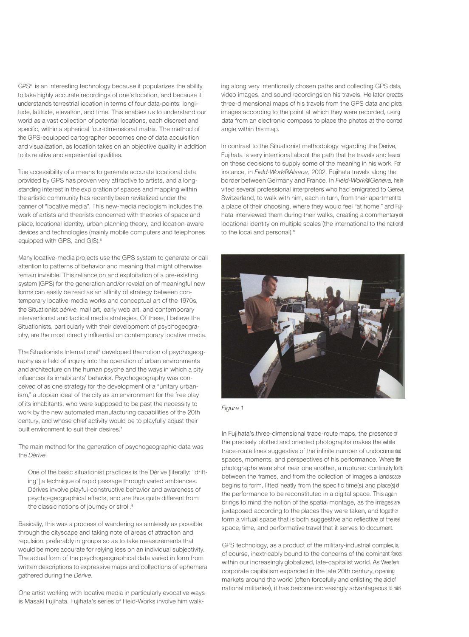GPS<sup>4</sup> is an interesting technology because it popularizes the ability to take highly accurate recordings of one's location, and because it understands terrestrial location in terms of four data-points; longitude, latitude, elevation, and time. This enables us to understand our world as a vast collection of potential locations, each discreet and specific, within a spherical four-dimensional matrix. The method of the GPS-equipped cartographer becomes one of data acquisition and visualization, as location takes on an objective quality in addition to its relative and experiential qualities.

l he accessibility of a means to generate accurate locational data provided by GPS has proven very attractive to artists, and a longstanding interest in the exploration of spaces and mapping within the artistic community has recently been revitalized under the banner of "locative media". This new-media neologism includes the work of artists and theorists concerned with theories of space and place, locational identity, urban planning theory, and location-aware devices and technologies (mainly mobile computers and telephones equipped with GPS, and GIS).<sup>5</sup>

Many locative-media projects use the GPS system to generate or call attention to patterns of behavior and meaning that might otherwise remain invisible. This reliance on and exploitation of a pre-existing system (GPS) for the generation and/or revelation of meaningful new forms can easily be read as an affinity of strategy between contemporary locative-media works and conceptual art of the 1970s, the Situationist *derive,* mail art, early web art, and contemporary interventionist and tactical media strategies. Of these, I believe the Situationists, particularly with their development of psychogeography, are the most directly influential on contemporary locative media.

The Situationists International' developed the notion of psychogeography as a field of inquiry into the operation of urban environments and architecture on the human psyche and the ways in which a city influences its inhabitants' behavior. Psychogeography was conceived of as one strategy for the development of a "unitary urbanism," a utopian ideal of the city as an environment for the free play of its inhabitants, who were supposed to be past the necessity to work by the new automated manufacturing capabilities of the 20th century, and whose chief activity would be to playfully adjust their built environment to suit their desires.'

The main method for the generation of psychogeographic data was the *Dérive*.

One of the basic situationist practices is the Dérive [literally: "drifting"] a technique of rapid passage through varied ambiences. Dérives involve playful-constructive behavior and awareness of psycho-geographical effects, and are thus quite different from the classic notions of journey or stroll.<sup>8</sup>

Basically, this was a process of wandering as aimlessly as possible through the cityscape and taking note of areas of attraction and repulsion, preferably in groups so as to take measurements that would be more accurate for relying less on an individual subjectivity. The actual form of the psychogeographical data varied in form from written descriptions to expressive maps and collections of ephemera gathered during the *Dérive*.

One artist working with locative media in particularly evocative ways is Masaki Fujihata. Fujihata's series of Field-Works involve him walking along very intentionally chosen paths and collecting GPS data, video images, and sound recordings on his travels. He later creates three-dimensional maps of his travels from the GPS data and plots images according to the point at which they were recorded, using data from an electronic compass to place the photos at the correct angle within his map.

In contrast to the Situationist methodology regarding the Derive, Fujihata is very intentional about the path that he travels and leans on these decisions to supply some of the meaning in his work. For instance, in *Fie/d-Work@A/sace,* 2002, Fujihata travels along the border between Germany and France. In *Fie/d-Work@Geneva,* he invited several professional interpreters who had emigrated to Geneva. Switzerland, to walk with him, each in turn, from their apartment to a place of their choosing, where they would feel "at home," and Fuji· hata interviewed them during their walks, creating a commentary on locational identity on multiple scales (the international to the national to the local and personal).•





In Fujihata's three-dimensional trace-route maps, the presence of the precisely plotted and oriented photographs makes the white trace-route lines suggestive of the infinite number of undocumented spaces, moments, and perspectives of his performance. Where the photographs were shot near one another, a ruptured continuity forms between the frames, and from the collection of images a landscape begins to form, lifted neatly from the specific time(s) and place(s) of the performance to be reconstituted in a digital space. This again brings to mind the notion of the spatial montage, as the images are juxtaposed according to the places they were taken, and together form a virtual space that is both suggestive and reflective of the real space, time, and performative travel that it serves to document.

GPS technology, as a product of the military-industrial complex, is, of course, inextricably bound to the concerns of the dominant forces within our increasingly globalized, late-capitalist world. As Western corporate capitalism expanded in the late 20th century, opening markets around the world (often forcefully and enlisting the aid of national militaries), it has become increasingly advantageous to have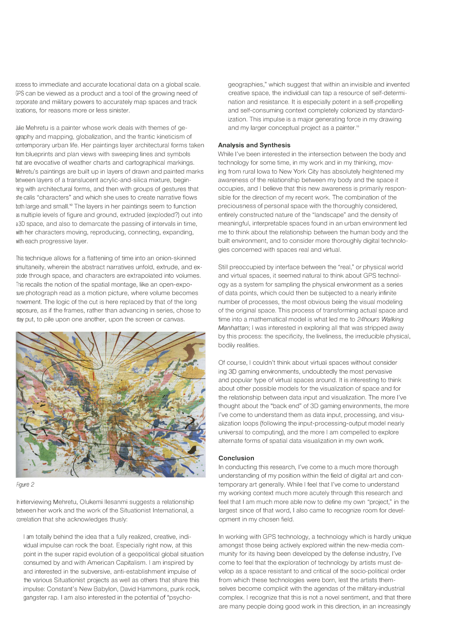access to immediate and accurate locational data on a global scale. GPS can be viewed as a product and a tool of the growing need of corporate and military powers to accurately map spaces and track locations, for reasons more or less sinister.

Julie Mehretu is a painter whose work deals with themes of geography and mapping, globalization, and the frantic kineticism of contemporary urban life. Her paintings layer architectural forms taken from blueprints and plan views with sweeping lines and symbols that are evocative of weather charts and cartographical markings. Mehretu's paintings are built up in layers of drawn and painted marks between layers of a translucent acrylic-and-silica mixture, beginning with architectural forms, and then with groups of gestures that she calls "characters" and which she uses to create narrative flows both large and small.<sup>10</sup> The layers in her paintings seem to function as multiple levels of figure and ground, extruded (exploded?) out into a3D space, and also to demarcate the passing of intervals in time, with her characters moving, reproducing, connecting, expanding, with each progressive layer.

This technique allows for a flattening of time into an onion-skinned simultaneity, wherein the abstract narratives unfold, extrude, and explode through space, and characters are extrapolated into volumes. This recalls the notion of the spatial montage, like an open-exposure photograph read as a motion picture, where volume becomes movement. The logic of the cut is here replaced by that of the long exposure, as if the frames, rather than advancing in series, chose to stay put, to pile upon one another, upon the screen or canvas.



*Figure 2* 

In interviewing Mehretu, Olukemi llesanmi suggests a relationship between her work and the work of the Situationist International, a correlation that she acknowledges thusly:

I am totally behind the idea that a fully realized, creative, individual impulse can rock the boat. Especially right now, at this point in the super-rapid evolution of a geopolitical global situation consumed by and with American Capitalism. I am inspired by and interested in the subversive, anti-establishment impulse of the various Situationist projects as well as others that share this impulse: Constant's New Babylon, David Hammons, punk rock, gangster rap. I am also interested in the potential of "psychogeographies," which suggest that within an invisible and invented creative space, the individual can tap a resource of self-determination and resistance. It is especially potent in a self-propelling and self-consuming context completely colonized by standardization. This impulse is a major generating force in my drawing and my larger conceptual project as a painter."

## **Analysis and Synthesis**

While I've been interested in the intersection between the body and technology for some time, in my work and in my thinking, moving from rural Iowa to New York City has absolutely heightened my awareness of the relationship between my body and the space it occupies, and I believe that this new awareness is primarily responsible for the direction of my recent work. The combination of the preciousness of personal space with the thoroughly considered, entirely constructed nature of the "landscape" and the density of meaningful, interpretable spaces found in an urban environment led me to think about the relationship between the human body and the built environment, and to consider more thoroughly digital technologies concerned with spaces real and virtual.

Still preoccupied by interface between the "real," or physical world and virtual spaces, it seemed natural to think about GPS technology as a system for sampling the physical environment as a series of data points, which could then be subjected to a nearly infinite number of processes, the most obvious being the visual modeling of the original space. This process of transforming actual space and time into a mathematical model is what led me to *24hours Walking Manhattan*; I was interested in exploring all that was stripped away by this process: the specificity, the liveliness, the irreducible physical, bodily realities.

Of course, I couldn't think about virtual spaces without consider ing 30 gaming environments, undoubtedly the most pervasive and popular type of virtual spaces around. It is interesting to think about other possible models for the visualization of space and for the relationship between data input and visualization. The more I've thought about the "back end" of 30 gaming environments, the more I've come to understand them as data input, processing, and visualization loops (following the input-processing-output model nearly universal to computing), and the more I am compelled to explore alternate forms of spatial data visualization in my own work.

## **Conclusion**

In conducting this research, I've come to a much more thorough understanding of my position within the field of digital art and contemporary art generally. While I feel that I've come to understand my working context much more acutely through this research and feel that I am much more able now to define my own "project," in the largest since of that word, I also came to recognize room for development in my chosen field.

In working with GPS technology, a technology which is hardly unique amongst those being actively explored within the new-media community for its having been developed by the defense industry, I've come to feel that the exploration of technology by artists must develop as a space resistant to and critical of the socio-political order from which these technologies were born, lest the artists themselves become complicit with the agendas of the military-industrial complex. I recognize that this is not a novel sentiment, and that there are many people doing good work in this direction, in an increasingly